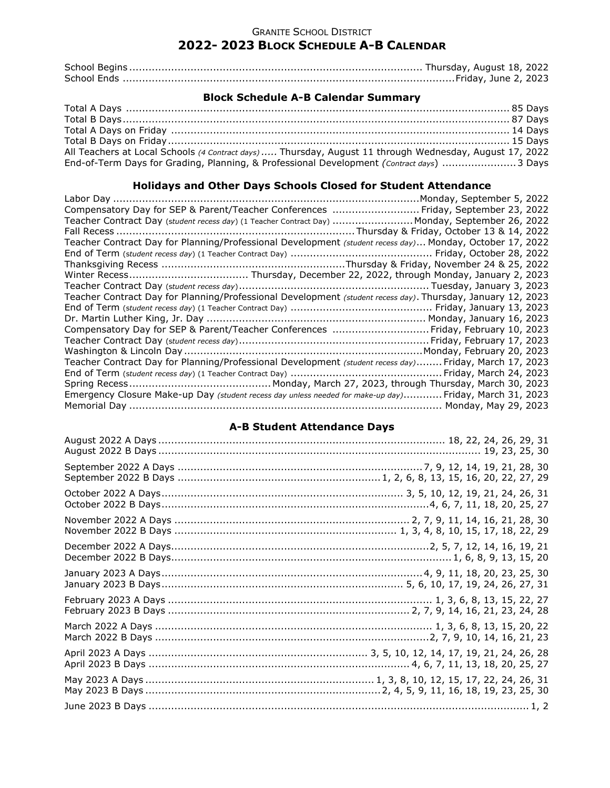## GRANITE SCHOOL DISTRICT **2022- 2023 BLOCK SCHEDULE A-B CALENDAR**

## **Block Schedule A-B Calendar Summary**

| All Teachers at Local Schools (4 Contract days)  Thursday, August 11 through Wednesday, August 17, 2022 |  |
|---------------------------------------------------------------------------------------------------------|--|
| End-of-Term Days for Grading, Planning, & Professional Development (Contract days) 3 Days               |  |

## **Holidays and Other Days Schools Closed for Student Attendance**

## **A-B Student Attendance Days**